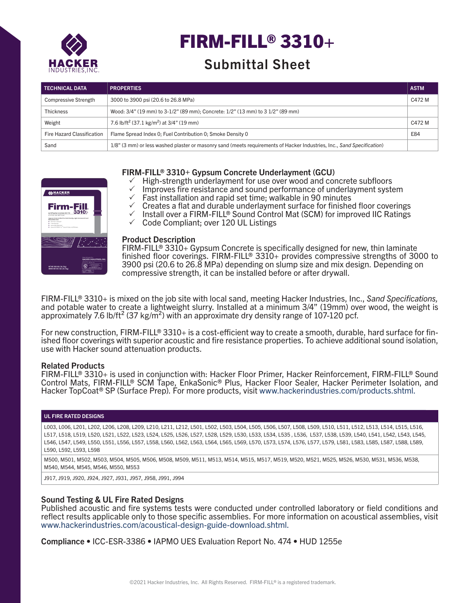

# FIRM-FILL® 3310+

# Submittal Sheet

| <b>TECHNICAL DATA</b>       | <b>PROPERTIES</b>                                                                                                      | <b>ASTM</b> |
|-----------------------------|------------------------------------------------------------------------------------------------------------------------|-------------|
| <b>Compressive Strength</b> | 3000 to 3900 psi (20.6 to 26.8 MPa)                                                                                    | C472 M      |
| <b>Thickness</b>            | Wood: 3/4" (19 mm) to 3-1/2" (89 mm); Concrete: 1/2" (13 mm) to 3 1/2" (89 mm)                                         |             |
| Weight                      | 7.6 lb/ft <sup>2</sup> (37.1 kg/m <sup>2</sup> ) at 3/4" (19 mm)                                                       | C472 M      |
| Fire Hazard Classification  | Flame Spread Index 0: Fuel Contribution 0: Smoke Density 0                                                             | E84         |
| Sand                        | 1/8" (3 mm) or less washed plaster or masonry sand (meets requirements of Hacker Industries, Inc., Sand Specification) |             |



# FIRM-FILL® 3310+ Gypsum Concrete Underlayment (GCU)

- $\checkmark$  High-strength underlayment for use over wood and concrete subfloors
- $\checkmark$  Improves fire resistance and sound performance of underlayment system  $\checkmark$  Fast installation and rapid set time; walkable in 90 minutes
- $\checkmark$  Fast installation and rapid set time; walkable in 90 minutes<br> $\checkmark$  Creates a flat and durable underlayment surface for finisher
- 3 Creates a flat and durable underlayment surface for finished floor coverings
- $\checkmark$  Install over a FIRM-FILL® Sound Control Mat (SCM) for improved IIC Ratings  $\checkmark$  Code Compliant: over 120 ULL Listings
- 3 Code Compliant; over 120 UL Listings

#### Product Description

FIRM-FILL® 3310+ Gypsum Concrete is specifically designed for new, thin laminate finished floor coverings. FIRM-FILL® 3310+ provides compressive strengths of 3000 to 3900 psi (20.6 to 26.8 MPa) depending on slump size and mix design. Depending on compressive strength, it can be installed before or after drywall.

FIRM-FILL® 3310+ is mixed on the job site with local sand, meeting Hacker Industries, Inc., *Sand Specifications,*  and potable water to create a lightweight slurry. Installed at a minimum 3/4" (19mm) over wood, the weight is approximately 7.6 lb/ft<sup>2</sup> (37 kg/m<sup>2</sup>) with an approximate dry density range of 107-120 pcf.

For new construction, FIRM-FILL® 3310+ is a cost-efficient way to create a smooth, durable, hard surface for finished floor coverings with superior acoustic and fire resistance properties. To achieve additional sound isolation, use with Hacker sound attenuation products.

#### Related Products

FIRM-FILL® 3310+ is used in conjunction with: Hacker Floor Primer, Hacker Reinforcement, FIRM-FILL® Sound Control Mats, FIRM-FILL® SCM Tape, EnkaSonic® Plus, Hacker Floor Sealer, Hacker Perimeter Isolation, and Hacker TopCoat® SP (Surface Prep). For more products, visit www.hackerindustries.com/products.shtml.

#### UL FIRE RATED DESIGNS

L003, L006, L201, L202, L206, L208, L209, L210, L211, L212, L501, L502, L503, L504, L505, L506, L507, L508, L509, L510, L511, L512, L513, L514, L515, L516, L517, L518, L519, L520, L521, L522, L523, L524, L525, L526, L527, L528, L529, L530, L533, L534, L535 , L536, L537, L538, L539, L540, L541, L542, L543, L545, L546, L547, L549, L550, L551, L556, L557, L558, L560, L562, L563, L564, L565, L569, L570, L573, L574, L576, L577, L579, L581, L583, L585, L587, L588, L589, L590, L592, L593, L598

M500, M501, M502, M503, M504, M505, M506, M508, M509, M511, M513, M514, M515, M517, M519, M520, M521, M525, M526, M530, M531, M536, M538, M540, M544, M545, M546, M550, M553

J917, J919, J920, J924, J927, J931, J957, J958, J991, J994

# Sound Testing & UL Fire Rated Designs

Published acoustic and fire systems tests were conducted under controlled laboratory or field conditions and reflect results applicable only to those specific assemblies. For more information on acoustical assemblies, visit www.hackerindustries.com/acoustical-design-guide-download.shtml.

Compliance • ICC-ESR-3386 • IAPMO UES Evaluation Report No. 474 • HUD 1255e